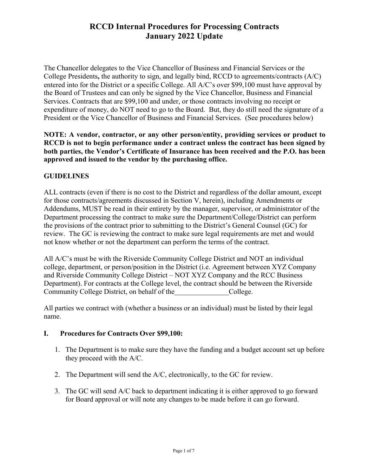The Chancellor delegates to the Vice Chancellor of Business and Financial Services or the College Presidents**,** the authority to sign, and legally bind, RCCD to agreements/contracts (A/C) entered into for the District or a specific College. All A/C's over \$99,100 must have approval by the Board of Trustees and can only be signed by the Vice Chancellor, Business and Financial Services. Contracts that are \$99,100 and under, or those contracts involving no receipt or expenditure of money, do NOT need to go to the Board. But, they do still need the signature of a President or the Vice Chancellor of Business and Financial Services. (See procedures below)

**NOTE: A vendor, contractor, or any other person/entity, providing services or product to RCCD is not to begin performance under a contract unless the contract has been signed by both parties, the Vendor's Certificate of Insurance has been received and the P.O. has been approved and issued to the vendor by the purchasing office.**

## **GUIDELINES**

ALL contracts (even if there is no cost to the District and regardless of the dollar amount, except for those contracts/agreements discussed in Section V, herein), including Amendments or Addendums, MUST be read in their entirety by the manager, supervisor, or administrator of the Department processing the contract to make sure the Department/College/District can perform the provisions of the contract prior to submitting to the District's General Counsel (GC) for review. The GC is reviewing the contract to make sure legal requirements are met and would not know whether or not the department can perform the terms of the contract.

All A/C's must be with the Riverside Community College District and NOT an individual college, department, or person/position in the District (i.e. Agreement between XYZ Company and Riverside Community College District – NOT XYZ Company and the RCC Business Department). For contracts at the College level, the contract should be between the Riverside Community College District, on behalf of the College.

All parties we contract with (whether a business or an individual) must be listed by their legal name.

## **I. Procedures for Contracts Over \$99,100:**

- 1. The Department is to make sure they have the funding and a budget account set up before they proceed with the A/C.
- 2. The Department will send the A/C, electronically, to the GC for review.
- 3. The GC will send A/C back to department indicating it is either approved to go forward for Board approval or will note any changes to be made before it can go forward.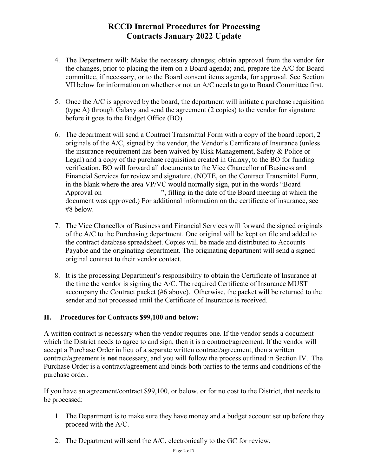- 4. The Department will: Make the necessary changes; obtain approval from the vendor for the changes, prior to placing the item on a Board agenda; and, prepare the A/C for Board committee, if necessary, or to the Board consent items agenda, for approval. See Section VII below for information on whether or not an A/C needs to go to Board Committee first.
- 5. Once the A/C is approved by the board, the department will initiate a purchase requisition (type A) through Galaxy and send the agreement (2 copies) to the vendor for signature before it goes to the Budget Office (BO).
- 6. The department will send a Contract Transmittal Form with a copy of the board report, 2 originals of the A/C, signed by the vendor, the Vendor's Certificate of Insurance (unless the insurance requirement has been waived by Risk Management, Safety & Police or Legal) and a copy of the purchase requisition created in Galaxy, to the BO for funding verification. BO will forward all documents to the Vice Chancellor of Business and Financial Services for review and signature. (NOTE, on the Contract Transmittal Form, in the blank where the area VP/VC would normally sign, put in the words "Board Approval on ", filling in the date of the Board meeting at which the document was approved.) For additional information on the certificate of insurance, see #8 below.
- 7. The Vice Chancellor of Business and Financial Services will forward the signed originals of the A/C to the Purchasing department. One original will be kept on file and added to the contract database spreadsheet. Copies will be made and distributed to Accounts Payable and the originating department. The originating department will send a signed original contract to their vendor contact.
- 8. It is the processing Department's responsibility to obtain the Certificate of Insurance at the time the vendor is signing the A/C. The required Certificate of Insurance MUST accompany the Contract packet (#6 above). Otherwise, the packet will be returned to the sender and not processed until the Certificate of Insurance is received.

## **II. Procedures for Contracts \$99,100 and below:**

A written contract is necessary when the vendor requires one. If the vendor sends a document which the District needs to agree to and sign, then it is a contract/agreement. If the vendor will accept a Purchase Order in lieu of a separate written contract/agreement, then a written contract/agreement is **not** necessary, and you will follow the process outlined in Section IV. The Purchase Order is a contract/agreement and binds both parties to the terms and conditions of the purchase order.

If you have an agreement/contract \$99,100, or below, or for no cost to the District, that needs to be processed:

- 1. The Department is to make sure they have money and a budget account set up before they proceed with the A/C.
- 2. The Department will send the A/C, electronically to the GC for review.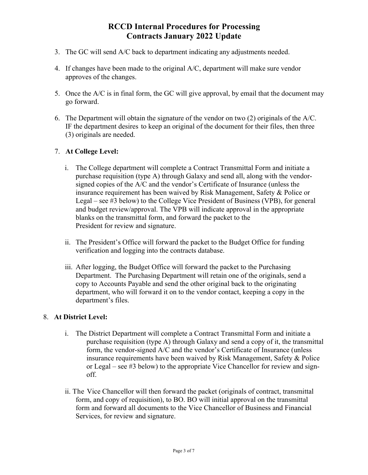- 3. The GC will send A/C back to department indicating any adjustments needed.
- 4. If changes have been made to the original A/C, department will make sure vendor approves of the changes.
- 5. Once the A/C is in final form, the GC will give approval, by email that the document may go forward.
- 6. The Department will obtain the signature of the vendor on two (2) originals of the A/C. IF the department desires to keep an original of the document for their files, then three (3) originals are needed.

### 7. **At College Level:**

- i. The College department will complete a Contract Transmittal Form and initiate a purchase requisition (type A) through Galaxy and send all, along with the vendorsigned copies of the A/C and the vendor's Certificate of Insurance (unless the insurance requirement has been waived by Risk Management, Safety & Police or Legal – see #3 below) to the College Vice President of Business (VPB), for general and budget review/approval. The VPB will indicate approval in the appropriate blanks on the transmittal form, and forward the packet to the President for review and signature.
- ii. The President's Office will forward the packet to the Budget Office for funding verification and logging into the contracts database.
- iii. After logging, the Budget Office will forward the packet to the Purchasing Department. The Purchasing Department will retain one of the originals, send a copy to Accounts Payable and send the other original back to the originating department, who will forward it on to the vendor contact, keeping a copy in the department's files.

### 8. **At District Level:**

- i. The District Department will complete a Contract Transmittal Form and initiate a purchase requisition (type A) through Galaxy and send a copy of it, the transmittal form, the vendor-signed A/C and the vendor's Certificate of Insurance (unless insurance requirements have been waived by Risk Management, Safety & Police or Legal – see #3 below) to the appropriate Vice Chancellor for review and signoff.
- ii. The Vice Chancellor will then forward the packet (originals of contract, transmittal form, and copy of requisition), to BO. BO will initial approval on the transmittal form and forward all documents to the Vice Chancellor of Business and Financial Services, for review and signature.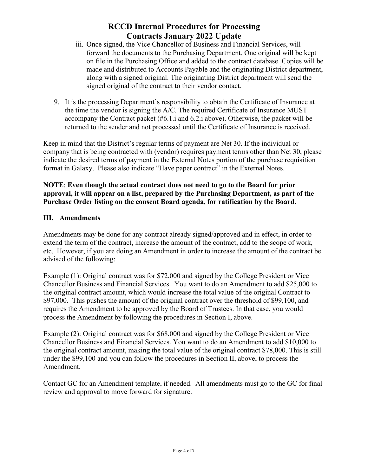- iii. Once signed, the Vice Chancellor of Business and Financial Services, will forward the documents to the Purchasing Department. One original will be kept on file in the Purchasing Office and added to the contract database. Copies will be made and distributed to Accounts Payable and the originating District department, along with a signed original. The originating District department will send the signed original of the contract to their vendor contact.
- 9. It is the processing Department's responsibility to obtain the Certificate of Insurance at the time the vendor is signing the A/C. The required Certificate of Insurance MUST accompany the Contract packet (#6.1.i and 6.2.i above). Otherwise, the packet will be returned to the sender and not processed until the Certificate of Insurance is received.

Keep in mind that the District's regular terms of payment are Net 30. If the individual or company that is being contracted with (vendor) requires payment terms other than Net 30, please indicate the desired terms of payment in the External Notes portion of the purchase requisition format in Galaxy. Please also indicate "Have paper contract" in the External Notes.

## **NOTE**: **Even though the actual contract does not need to go to the Board for prior approval, it will appear on a list, prepared by the Purchasing Department, as part of the Purchase Order listing on the consent Board agenda, for ratification by the Board.**

## **III. Amendments**

Amendments may be done for any contract already signed/approved and in effect, in order to extend the term of the contract, increase the amount of the contract, add to the scope of work, etc. However, if you are doing an Amendment in order to increase the amount of the contract be advised of the following:

Example (1): Original contract was for \$72,000 and signed by the College President or Vice Chancellor Business and Financial Services. You want to do an Amendment to add \$25,000 to the original contract amount, which would increase the total value of the original Contract to \$97,000. This pushes the amount of the original contract over the threshold of \$99,100, and requires the Amendment to be approved by the Board of Trustees. In that case, you would process the Amendment by following the procedures in Section I, above.

Example (2): Original contract was for \$68,000 and signed by the College President or Vice Chancellor Business and Financial Services. You want to do an Amendment to add \$10,000 to the original contract amount, making the total value of the original contract \$78,000. This is still under the \$99,100 and you can follow the procedures in Section II, above, to process the Amendment.

Contact GC for an Amendment template, if needed. All amendments must go to the GC for final review and approval to move forward for signature.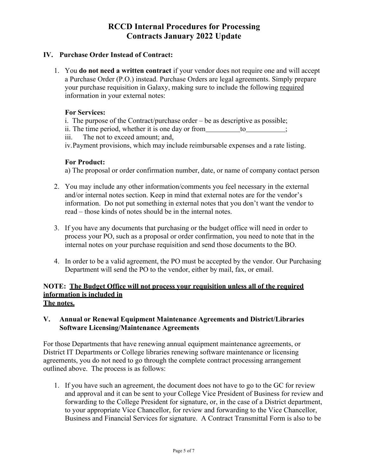### **IV. Purchase Order Instead of Contract:**

1. You **do not need a written contract** if your vendor does not require one and will accept a Purchase Order (P.O.) instead. Purchase Orders are legal agreements. Simply prepare your purchase requisition in Galaxy, making sure to include the following required information in your external notes:

#### **For Services:**

i. The purpose of the Contract/purchase order – be as descriptive as possible;

ii. The time period, whether it is one day or from  $\qquad$  to ;

iii. The not to exceed amount; and,

iv.Payment provisions, which may include reimbursable expenses and a rate listing.

### **For Product:**

a) The proposal or order confirmation number, date, or name of company contact person

- 2. You may include any other information/comments you feel necessary in the external and/or internal notes section. Keep in mind that external notes are for the vendor's information. Do not put something in external notes that you don't want the vendor to read – those kinds of notes should be in the internal notes.
- 3. If you have any documents that purchasing or the budget office will need in order to process your PO, such as a proposal or order confirmation, you need to note that in the internal notes on your purchase requisition and send those documents to the BO.
- 4. In order to be a valid agreement, the PO must be accepted by the vendor. Our Purchasing Department will send the PO to the vendor, either by mail, fax, or email.

#### **NOTE: The Budget Office will not process your requisition unless all of the required information is included in The notes.**

## **V. Annual or Renewal Equipment Maintenance Agreements and District/Libraries Software Licensing/Maintenance Agreements**

For those Departments that have renewing annual equipment maintenance agreements, or District IT Departments or College libraries renewing software maintenance or licensing agreements, you do not need to go through the complete contract processing arrangement outlined above. The process is as follows:

1. If you have such an agreement, the document does not have to go to the GC for review and approval and it can be sent to your College Vice President of Business for review and forwarding to the College President for signature, or, in the case of a District department, to your appropriate Vice Chancellor, for review and forwarding to the Vice Chancellor, Business and Financial Services for signature. A Contract Transmittal Form is also to be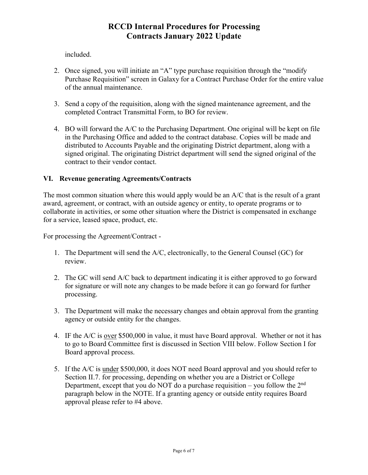included.

- 2. Once signed, you will initiate an "A" type purchase requisition through the "modify Purchase Requisition" screen in Galaxy for a Contract Purchase Order for the entire value of the annual maintenance.
- 3. Send a copy of the requisition, along with the signed maintenance agreement, and the completed Contract Transmittal Form, to BO for review.
- 4. BO will forward the A/C to the Purchasing Department. One original will be kept on file in the Purchasing Office and added to the contract database. Copies will be made and distributed to Accounts Payable and the originating District department, along with a signed original. The originating District department will send the signed original of the contract to their vendor contact.

## **VI. Revenue generating Agreements/Contracts**

The most common situation where this would apply would be an A/C that is the result of a grant award, agreement, or contract, with an outside agency or entity, to operate programs or to collaborate in activities, or some other situation where the District is compensated in exchange for a service, leased space, product, etc.

For processing the Agreement/Contract -

- 1. The Department will send the A/C, electronically, to the General Counsel (GC) for review.
- 2. The GC will send A/C back to department indicating it is either approved to go forward for signature or will note any changes to be made before it can go forward for further processing.
- 3. The Department will make the necessary changes and obtain approval from the granting agency or outside entity for the changes.
- 4. IF the A/C is over \$500,000 in value, it must have Board approval. Whether or not it has to go to Board Committee first is discussed in Section VIII below. Follow Section I for Board approval process.
- 5. If the A/C is <u>under</u> \$500,000, it does NOT need Board approval and you should refer to Section II.7. for processing, depending on whether you are a District or College Department, except that you do NOT do a purchase requisition – you follow the  $2<sup>nd</sup>$ paragraph below in the NOTE. If a granting agency or outside entity requires Board approval please refer to #4 above.